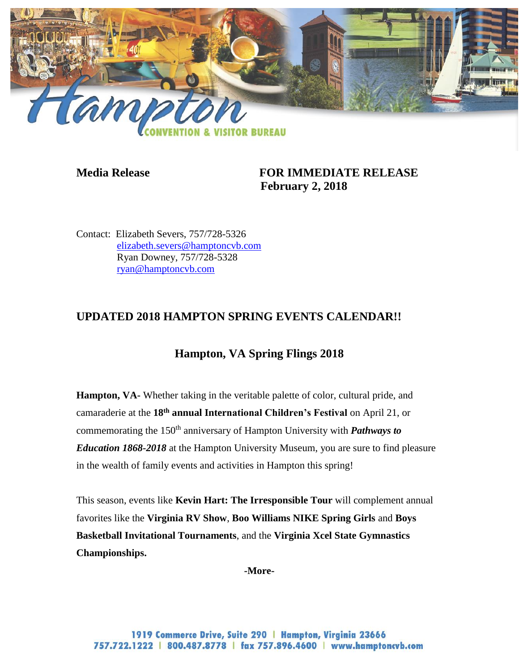

# **Media Release FOR IMMEDIATE RELEASE February 2, 2018**

Contact: Elizabeth Severs, 757/728-5326 [elizabeth.severs@hamptoncvb.com](mailto:elizabeth.severs@hamptoncvb.com) Ryan Downey, 757/728-5328 [ryan@hamptoncvb.com](mailto:ryan@hamptoncvb.com)

# **UPDATED 2018 HAMPTON SPRING EVENTS CALENDAR!!**

# **Hampton, VA Spring Flings 2018**

**Hampton, VA-** Whether taking in the veritable palette of color, cultural pride, and camaraderie at the **18th annual International Children's Festival** on April 21, or commemorating the 150<sup>th</sup> anniversary of Hampton University with *Pathways to Education 1868-2018* at the Hampton University Museum, you are sure to find pleasure in the wealth of family events and activities in Hampton this spring!

This season, events like **Kevin Hart: The Irresponsible Tour** will complement annual favorites like the **Virginia RV Show**, **Boo Williams NIKE Spring Girls** and **Boys Basketball Invitational Tournaments**, and the **Virginia Xcel State Gymnastics Championships.**

**-More-**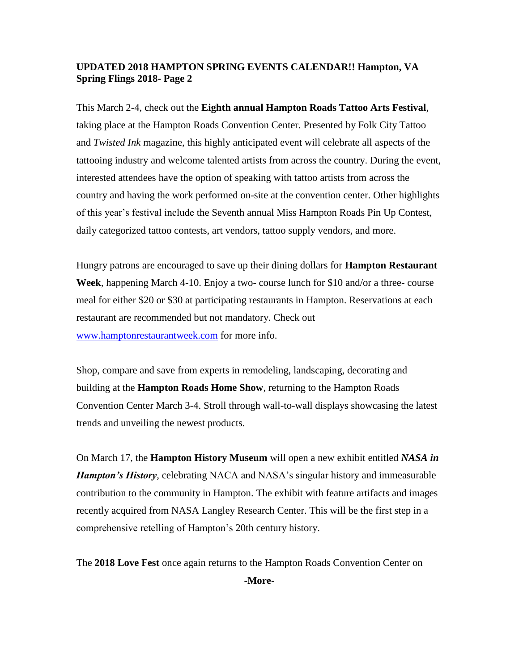This March 2-4, check out the **Eighth annual Hampton Roads Tattoo Arts Festival**, taking place at the Hampton Roads Convention Center. Presented by Folk City Tattoo and *Twisted Ink* magazine, this highly anticipated event will celebrate all aspects of the tattooing industry and welcome talented artists from across the country. During the event, interested attendees have the option of speaking with tattoo artists from across the country and having the work performed on-site at the convention center. Other highlights of this year's festival include the Seventh annual Miss Hampton Roads Pin Up Contest, daily categorized tattoo contests, art vendors, tattoo supply vendors, and more.

Hungry patrons are encouraged to save up their dining dollars for **Hampton Restaurant Week**, happening March 4-10. Enjoy a two- course lunch for \$10 and/or a three- course meal for either \$20 or \$30 at participating restaurants in Hampton. Reservations at each restaurant are recommended but not mandatory. Check out [www.hamptonrestaurantweek.com](http://www.hamptonrestaurantweek.com/) for more info.

Shop, compare and save from experts in remodeling, landscaping, decorating and building at the **Hampton Roads Home Show**, returning to the Hampton Roads Convention Center March 3-4. Stroll through wall-to-wall displays showcasing the latest trends and unveiling the newest products.

On March 17, the **Hampton History Museum** will open a new exhibit entitled *NASA in Hampton's History*, celebrating NACA and NASA's singular history and immeasurable contribution to the community in Hampton. The exhibit with feature artifacts and images recently acquired from NASA Langley Research Center. This will be the first step in a comprehensive retelling of Hampton's 20th century history.

The **2018 Love Fest** once again returns to the Hampton Roads Convention Center on

**-More-**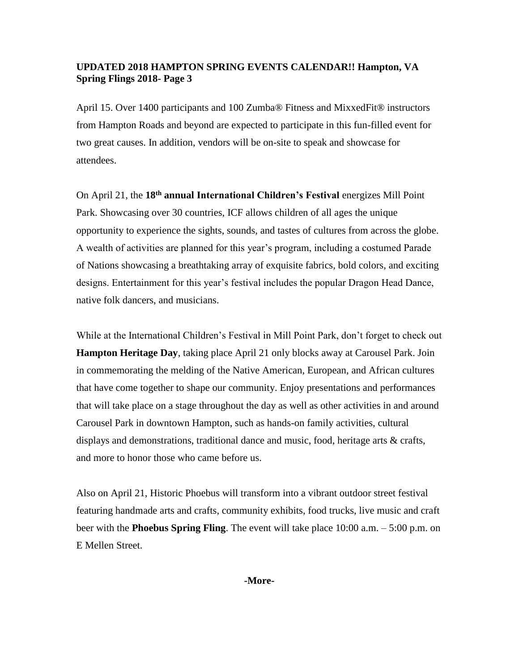April 15. Over 1400 participants and 100 Zumba® Fitness and MixxedFit® instructors from Hampton Roads and beyond are expected to participate in this fun-filled event for two great causes. In addition, vendors will be on-site to speak and showcase for attendees.

On April 21, the **18th annual International Children's Festival** energizes Mill Point Park. Showcasing over 30 countries, ICF allows children of all ages the unique opportunity to experience the sights, sounds, and tastes of cultures from across the globe. A wealth of activities are planned for this year's program, including a costumed Parade of Nations showcasing a breathtaking array of exquisite fabrics, bold colors, and exciting designs. Entertainment for this year's festival includes the popular Dragon Head Dance, native folk dancers, and musicians.

While at the International Children's Festival in Mill Point Park, don't forget to check out **Hampton Heritage Day**, taking place April 21 only blocks away at Carousel Park. Join in commemorating the melding of the Native American, European, and African cultures that have come together to shape our community. Enjoy presentations and performances that will take place on a stage throughout the day as well as other activities in and around Carousel Park in downtown Hampton, such as hands-on family activities, cultural displays and demonstrations, traditional dance and music, food, heritage arts & crafts, and more to honor those who came before us.

Also on April 21, Historic Phoebus will transform into a vibrant outdoor street festival featuring handmade arts and crafts, community exhibits, food trucks, live music and craft beer with the **Phoebus Spring Fling**. The event will take place 10:00 a.m. – 5:00 p.m. on E Mellen Street.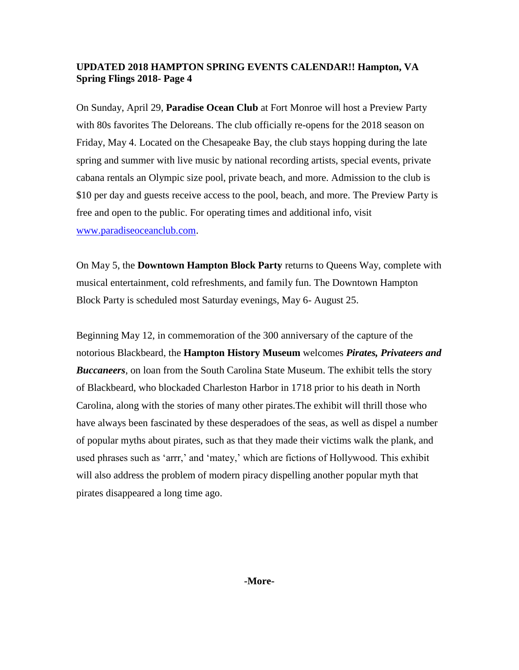On Sunday, April 29, **Paradise Ocean Club** at Fort Monroe will host a Preview Party with 80s favorites The Deloreans. The club officially re-opens for the 2018 season on Friday, May 4. Located on the Chesapeake Bay, the club stays hopping during the late spring and summer with live music by national recording artists, special events, private cabana rentals an Olympic size pool, private beach, and more. Admission to the club is \$10 per day and guests receive access to the pool, beach, and more. The Preview Party is free and open to the public. For operating times and additional info, visit [www.paradiseoceanclub.com.](http://www.paradiseoceanclub.com/)

On May 5, the **Downtown Hampton Block Party** returns to Queens Way, complete with musical entertainment, cold refreshments, and family fun. The Downtown Hampton Block Party is scheduled most Saturday evenings, May 6- August 25.

Beginning May 12, in commemoration of the 300 anniversary of the capture of the notorious Blackbeard, the **Hampton History Museum** welcomes *Pirates, Privateers and Buccaneers*, on loan from the South Carolina State Museum. The exhibit tells the story of Blackbeard, who blockaded Charleston Harbor in 1718 prior to his death in North Carolina, along with the stories of many other pirates.The exhibit will thrill those who have always been fascinated by these desperadoes of the seas, as well as dispel a number of popular myths about pirates, such as that they made their victims walk the plank, and used phrases such as 'arrr,' and 'matey,' which are fictions of Hollywood. This exhibit will also address the problem of modern piracy dispelling another popular myth that pirates disappeared a long time ago.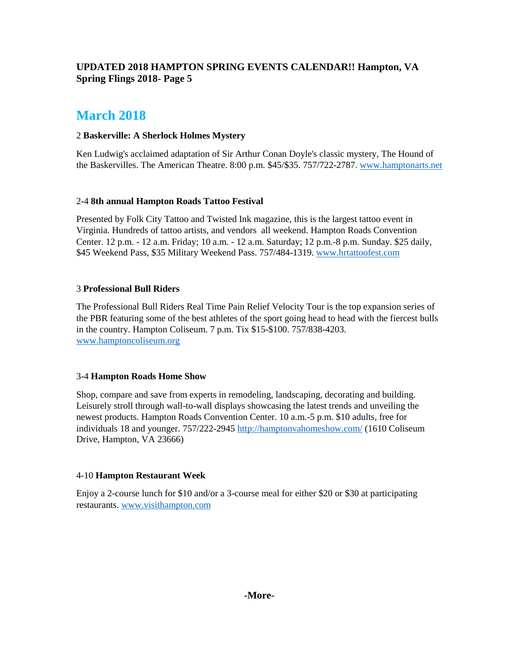# **March 2018**

## 2 **Baskerville: A Sherlock Holmes Mystery**

Ken Ludwig's acclaimed adaptation of Sir Arthur Conan Doyle's classic mystery, The Hound of the Baskervilles. The American Theatre. 8:00 p.m. \$45/\$35. 757/722-2787. [www.hamptonarts.net](http://www.hamptonarts.net/)

## 2-4 **8th annual Hampton Roads Tattoo Festival**

Presented by Folk City Tattoo and Twisted Ink magazine, this is the largest tattoo event in Virginia. Hundreds of tattoo artists, and vendors all weekend. Hampton Roads Convention Center. 12 p.m. - 12 a.m. Friday; 10 a.m. - 12 a.m. Saturday; 12 p.m.-8 p.m. Sunday. \$25 daily, \$45 Weekend Pass, \$35 Military Weekend Pass. 757/484-1319. [www.hrtattoofest.com](http://www.hrtattoofest.com/)

# 3 **Professional Bull Riders**

The Professional Bull Riders Real Time Pain Relief Velocity Tour is the top expansion series of the PBR featuring some of the best athletes of the sport going head to head with the fiercest bulls in the country. Hampton Coliseum. 7 p.m. Tix \$15-\$100. 757/838-4203. [www.hamptoncoliseum.org](http://www.hamptoncoliseum.org/)

## 3-4 **Hampton Roads Home Show**

Shop, compare and save from experts in remodeling, landscaping, decorating and building. Leisurely stroll through wall-to-wall displays showcasing the latest trends and unveiling the newest products. Hampton Roads Convention Center. 10 a.m.-5 p.m. \$10 adults, free for individuals 18 and younger. 757/222-2945<http://hamptonvahomeshow.com/> (1610 Coliseum Drive, Hampton, VA 23666)

## 4-10 **Hampton Restaurant Week**

Enjoy a 2-course lunch for \$10 and/or a 3-course meal for either \$20 or \$30 at participating restaurants. [www.visithampton.com](http://www.visithampton.com/)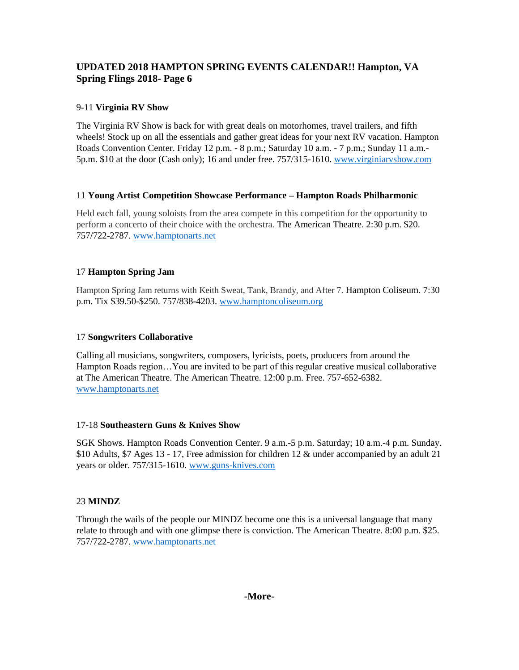# 9-11 **Virginia RV Show**

The Virginia RV Show is back for with great deals on motorhomes, travel trailers, and fifth wheels! Stock up on all the essentials and gather great ideas for your next RV vacation. Hampton Roads Convention Center. Friday 12 p.m. - 8 p.m.; Saturday 10 a.m. - 7 p.m.; Sunday 11 a.m.- 5p.m. \$10 at the door (Cash only); 16 and under free. 757/315-1610. [www.virginiarvshow.com](http://www.virginiarvshow.com/)

## 11 **Young Artist Competition Showcase Performance – Hampton Roads Philharmonic**

Held each fall, young soloists from the area compete in this competition for the opportunity to perform a concerto of their choice with the orchestra. The American Theatre. 2:30 p.m. \$20. 757/722-2787. [www.hamptonarts.net](http://www.hamptonarts.net/)

# 17 **Hampton Spring Jam**

Hampton Spring Jam returns with Keith Sweat, Tank, Brandy, and After 7. Hampton Coliseum. 7:30 p.m. Tix \$39.50-\$250. 757/838-4203. [www.hamptoncoliseum.org](http://www.hamptoncoliseum.org/)

# 17 **Songwriters Collaborative**

Calling all musicians, songwriters, composers, lyricists, poets, producers from around the Hampton Roads region…You are invited to be part of this regular creative musical collaborative at The American Theatre. The American Theatre. 12:00 p.m. Free. 757-652-6382. [www.hamptonarts.net](http://www.hamptonarts.net/)

## 17-18 **Southeastern Guns & Knives Show**

SGK Shows. Hampton Roads Convention Center. 9 a.m.-5 p.m. Saturday; 10 a.m.-4 p.m. Sunday. \$10 Adults, \$7 Ages 13 - 17, Free admission for children 12 & under accompanied by an adult 21 years or older. 757/315-1610. [www.guns-knives.com](http://www.guns-knives.comn/)

## 23 **MINDZ**

Through the wails of the people our MINDZ become one this is a universal language that many relate to through and with one glimpse there is conviction. The American Theatre. 8:00 p.m. \$25. 757/722-2787. [www.hamptonarts.net](http://www.hamptonarts.net/)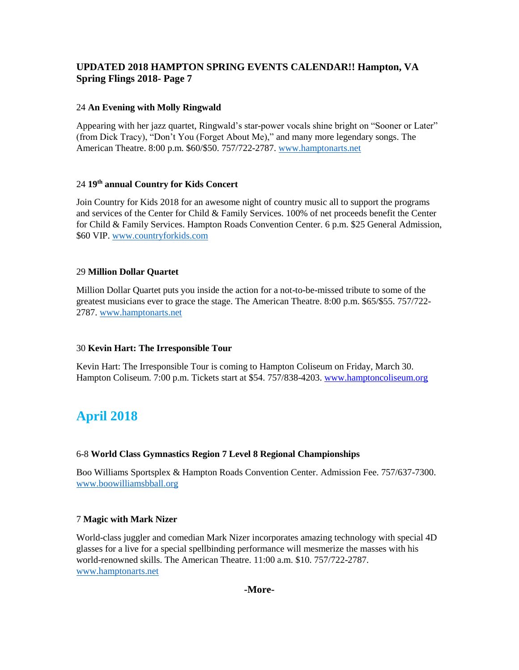#### 24 **An Evening with Molly Ringwald**

Appearing with her jazz quartet, Ringwald's star-power vocals shine bright on "Sooner or Later" (from Dick Tracy), "Don't You (Forget About Me)," and many more legendary songs. The American Theatre. 8:00 p.m. \$60/\$50. 757/722-2787. [www.hamptonarts.net](http://www.hamptonarts.net/)

#### 24 **19th annual Country for Kids Concert**

Join Country for Kids 2018 for an awesome night of country music all to support the programs and services of the Center for Child & Family Services. 100% of net proceeds benefit the Center for Child & Family Services. Hampton Roads Convention Center. 6 p.m. \$25 General Admission, \$60 VIP. [www.countryforkids.com](http://www.countryforkids.com/)

#### 29 **Million Dollar Quartet**

Million Dollar Quartet puts you inside the action for a not-to-be-missed tribute to some of the greatest musicians ever to grace the stage. The American Theatre. 8:00 p.m. \$65/\$55. 757/722- 2787. [www.hamptonarts.net](http://www.hamptonarts.net/)

#### 30 **Kevin Hart: The Irresponsible Tour**

Kevin Hart: The Irresponsible Tour is coming to Hampton Coliseum on Friday, March 30. Hampton Coliseum. 7:00 p.m. Tickets start at \$54. 757/838-4203[. www.hamptoncoliseum.org](http://www.hamptoncoliseum.org/)

# **April 2018**

#### 6-8 **World Class Gymnastics Region 7 Level 8 Regional Championships**

Boo Williams Sportsplex & Hampton Roads Convention Center. Admission Fee. 757/637-7300. [www.boowilliamsbball.org](http://www.boowilliamsbball.org/)

#### 7 **Magic with Mark Nizer**

World-class juggler and comedian Mark Nizer incorporates amazing technology with special 4D glasses for a live for a special spellbinding performance will mesmerize the masses with his world-renowned skills. The American Theatre. 11:00 a.m. \$10. 757/722-2787. [www.hamptonarts.net](http://www.hamptonarts.net/)

#### **-More-**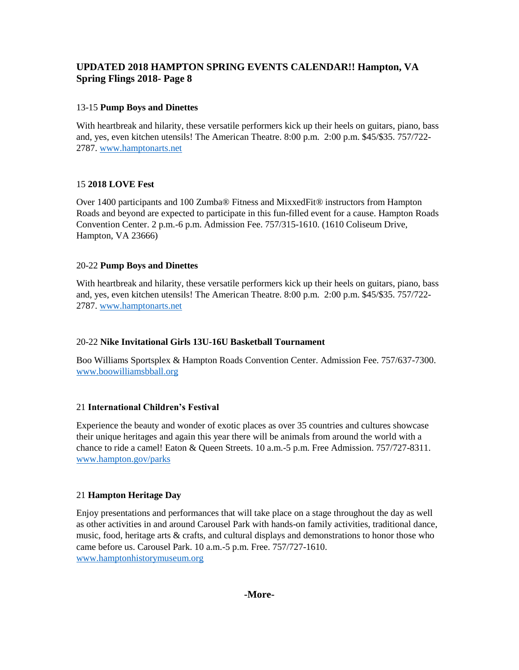# 13-15 **Pump Boys and Dinettes**

With heartbreak and hilarity, these versatile performers kick up their heels on guitars, piano, bass and, yes, even kitchen utensils! The American Theatre. 8:00 p.m. 2:00 p.m. \$45/\$35. 757/722- 2787. [www.hamptonarts.net](http://www.hamptonarts.net/)

## 15 **2018 LOVE Fest**

Over 1400 participants and 100 Zumba® Fitness and MixxedFit® instructors from Hampton Roads and beyond are expected to participate in this fun-filled event for a cause. Hampton Roads Convention Center. 2 p.m.-6 p.m. Admission Fee. 757/315-1610. (1610 Coliseum Drive, Hampton, VA 23666)

# 20-22 **Pump Boys and Dinettes**

With heartbreak and hilarity, these versatile performers kick up their heels on guitars, piano, bass and, yes, even kitchen utensils! The American Theatre. 8:00 p.m. 2:00 p.m. \$45/\$35. 757/722- 2787. [www.hamptonarts.net](http://www.hamptonarts.net/)

## 20-22 **Nike Invitational Girls 13U-16U Basketball Tournament**

Boo Williams Sportsplex & Hampton Roads Convention Center. Admission Fee. 757/637-7300. [www.boowilliamsbball.org](http://www.boowilliamsbball.org/)

# 21 **International Children's Festival**

Experience the beauty and wonder of exotic places as over 35 countries and cultures showcase their unique heritages and again this year there will be animals from around the world with a chance to ride a camel! Eaton & Queen Streets. 10 a.m.-5 p.m. Free Admission. 757/727-8311. [www.hampton.gov/parks](http://www.hampton.gov/parks)

## 21 **Hampton Heritage Day**

Enjoy presentations and performances that will take place on a stage throughout the day as well as other activities in and around Carousel Park with hands-on family activities, traditional dance, music, food, heritage arts & crafts, and cultural displays and demonstrations to honor those who came before us. Carousel Park. 10 a.m.-5 p.m. Free. 757/727-1610. [www.hamptonhistorymuseum.org](http://www.hamptonhistorymuseum.org/)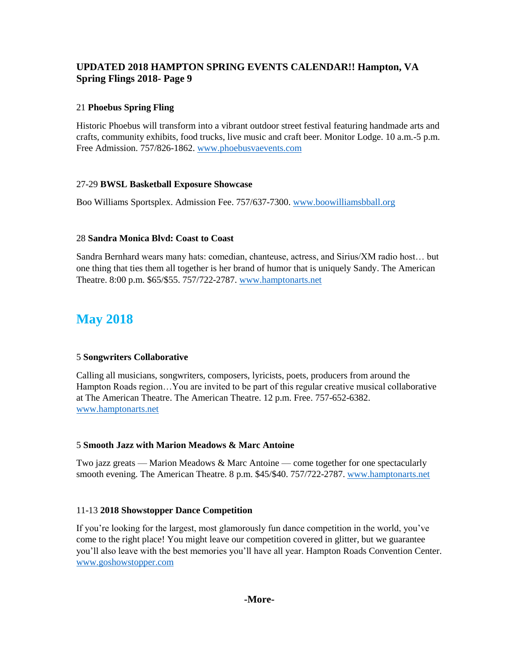# 21 **Phoebus Spring Fling**

Historic Phoebus will transform into a vibrant outdoor street festival featuring handmade arts and crafts, community exhibits, food trucks, live music and craft beer. Monitor Lodge. 10 a.m.-5 p.m. Free Admission. 757/826-1862[. www.phoebusvaevents.com](http://www.phoebusvaevents.com/)

## 27-29 **BWSL Basketball Exposure Showcase**

Boo Williams Sportsplex. Admission Fee. 757/637-7300[. www.boowilliamsbball.org](http://www.boowilliamsbball.org/)

## 28 **Sandra Monica Blvd: Coast to Coast**

Sandra Bernhard wears many hats: comedian, chanteuse, actress, and Sirius/XM radio host… but one thing that ties them all together is her brand of humor that is uniquely Sandy. The American Theatre. 8:00 p.m. \$65/\$55. 757/722-2787. [www.hamptonarts.net](http://www.hamptonarts.net/)

# **May 2018**

## 5 **Songwriters Collaborative**

Calling all musicians, songwriters, composers, lyricists, poets, producers from around the Hampton Roads region…You are invited to be part of this regular creative musical collaborative at The American Theatre. The American Theatre. 12 p.m. Free. 757-652-6382. [www.hamptonarts.net](http://www.hamptonarts.net/)

## 5 **Smooth Jazz with Marion Meadows & Marc Antoine**

Two jazz greats — Marion Meadows & Marc Antoine — come together for one spectacularly smooth evening. The American Theatre. 8 p.m. \$45/\$40. 757/722-2787. [www.hamptonarts.net](http://www.hamptonarts.net/)

#### 11-13 **2018 Showstopper Dance Competition**

If you're looking for the largest, most glamorously fun dance competition in the world, you've come to the right place! You might leave our competition covered in glitter, but we guarantee you'll also leave with the best memories you'll have all year. Hampton Roads Convention Center. [www.goshowstopper.com](http://www.goshowstopper.com/)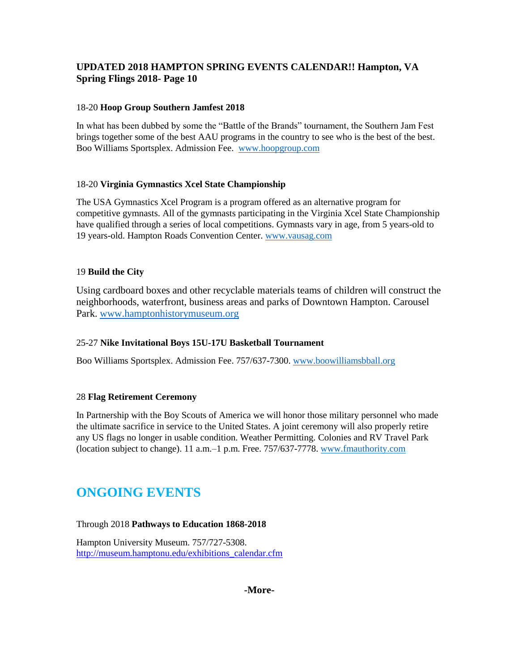# 18-20 **Hoop Group Southern Jamfest 2018**

In what has been dubbed by some the "Battle of the Brands" tournament, the Southern Jam Fest brings together some of the best AAU programs in the country to see who is the best of the best. Boo Williams Sportsplex. Admission Fee. [www.hoopgroup.com](http://www.hoopgroup.com/)

## 18-20 **Virginia Gymnastics Xcel State Championship**

The USA Gymnastics Xcel Program is a program offered as an alternative program for competitive gymnasts. All of the gymnasts participating in the Virginia Xcel State Championship have qualified through a series of local competitions. Gymnasts vary in age, from 5 years-old to 19 years-old. Hampton Roads Convention Center. [www.vausag.com](http://www.vausag.com/)

## 19 **Build the City**

Using cardboard boxes and other recyclable materials teams of children will construct the neighborhoods, waterfront, business areas and parks of Downtown Hampton. Carousel Park. [www.hamptonhistorymuseum.org](http://www.hamptonhistorymuseum.org/)

## 25-27 **Nike Invitational Boys 15U-17U Basketball Tournament**

Boo Williams Sportsplex. Admission Fee. 757/637-7300[. www.boowilliamsbball.org](http://www.boowilliamsbball.org/)

## 28 **Flag Retirement Ceremony**

In Partnership with the Boy Scouts of America we will honor those military personnel who made the ultimate sacrifice in service to the United States. A joint ceremony will also properly retire any US flags no longer in usable condition. Weather Permitting. Colonies and RV Travel Park (location subject to change). 11 a.m.–1 p.m. Free. 757/637-7778. [www.fmauthority.com](http://www.fmauthority.com/)

# **ONGOING EVENTS**

## Through 2018 **Pathways to Education 1868-2018**

Hampton University Museum. 757/727-5308. [http://museum.hamptonu.edu/exhibitions\\_calendar.cfm](http://museum.hamptonu.edu/exhibitions_calendar.cfm)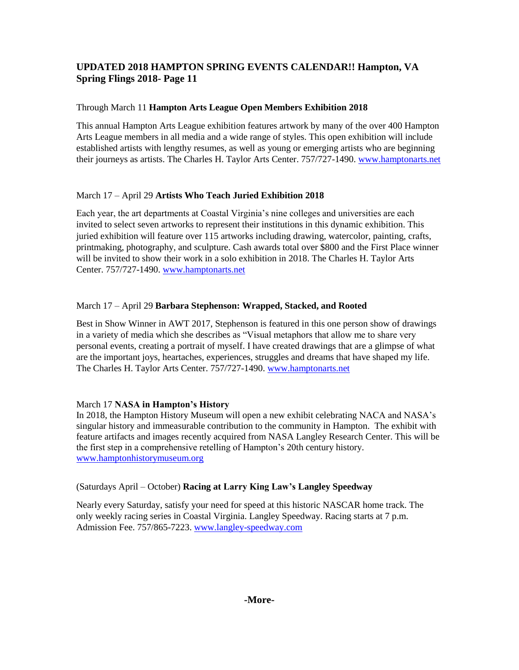# Through March 11 **Hampton Arts League Open Members Exhibition 2018**

This annual Hampton Arts League exhibition features artwork by many of the over 400 Hampton Arts League members in all media and a wide range of styles. This open exhibition will include established artists with lengthy resumes, as well as young or emerging artists who are beginning their journeys as artists. The Charles H. Taylor Arts Center. 757/727-1490[. www.hamptonarts.net](http://www.hamptonarts.net/)

# March 17 – April 29 **Artists Who Teach Juried Exhibition 2018**

Each year, the art departments at Coastal Virginia's nine colleges and universities are each invited to select seven artworks to represent their institutions in this dynamic exhibition. This juried exhibition will feature over 115 artworks including drawing, watercolor, painting, crafts, printmaking, photography, and sculpture. Cash awards total over \$800 and the First Place winner will be invited to show their work in a solo exhibition in 2018. The Charles H. Taylor Arts Center. 757/727-1490. [www.hamptonarts.net](http://www.hamptonarts.net/)

# March 17 – April 29 **Barbara Stephenson: Wrapped, Stacked, and Rooted**

Best in Show Winner in AWT 2017, Stephenson is featured in this one person show of drawings in a variety of media which she describes as "Visual metaphors that allow me to share very personal events, creating a portrait of myself. I have created drawings that are a glimpse of what are the important joys, heartaches, experiences, struggles and dreams that have shaped my life. The Charles H. Taylor Arts Center. 757/727-1490. [www.hamptonarts.net](http://www.hamptonarts.net/)

# March 17 **NASA in Hampton's History**

In 2018, the Hampton History Museum will open a new exhibit celebrating NACA and NASA's singular history and immeasurable contribution to the community in Hampton. The exhibit with feature artifacts and images recently acquired from NASA Langley Research Center. This will be the first step in a comprehensive retelling of Hampton's 20th century history. [www.hamptonhistorymuseum.org](http://www.hamptonhistorymuseum.org/)

## (Saturdays April – October) **Racing at Larry King Law's Langley Speedway**

Nearly every Saturday, satisfy your need for speed at this historic NASCAR home track. The only weekly racing series in Coastal Virginia. Langley Speedway. Racing starts at 7 p.m. Admission Fee. 757/865-7223. [www.langley-speedway.com](http://www.langley-speedway.com/)